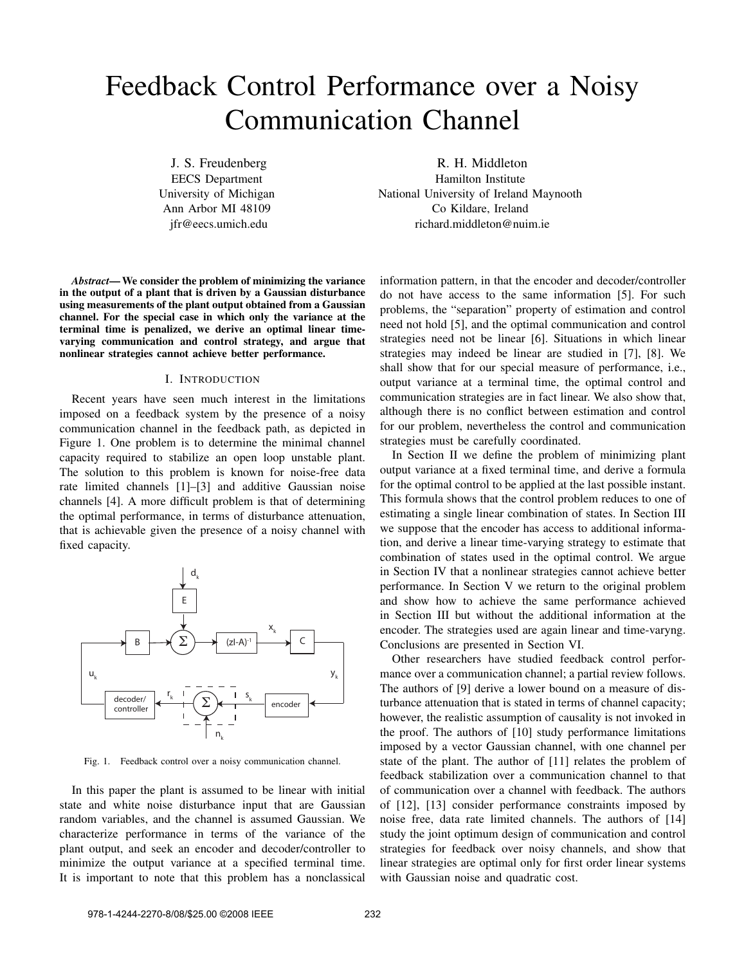# Feedback Control Performance over a Noisy Communication Channel

J. S. Freudenberg EECS Department University of Michigan Ann Arbor MI 48109 jfr@eecs.umich.edu

*Abstract*— We consider the problem of minimizing the variance in the output of a plant that is driven by a Gaussian disturbance using measurements of the plant output obtained from a Gaussian channel. For the special case in which only the variance at the terminal time is penalized, we derive an optimal linear timevarying communication and control strategy, and argue that nonlinear strategies cannot achieve better performance.

### I. INTRODUCTION

Recent years have seen much interest in the limitations imposed on a feedback system by the presence of a noisy communication channel in the feedback path, as depicted in Figure 1. One problem is to determine the minimal channel capacity required to stabilize an open loop unstable plant. The solution to this problem is known for noise-free data rate limited channels [1]–[3] and additive Gaussian noise channels [4]. A more difficult problem is that of determining the optimal performance, in terms of disturbance attenuation, that is achievable given the presence of a noisy channel with fixed capacity.



Fig. 1. Feedback control over a noisy communication channel.

In this paper the plant is assumed to be linear with initial state and white noise disturbance input that are Gaussian random variables, and the channel is assumed Gaussian. We characterize performance in terms of the variance of the plant output, and seek an encoder and decoder/controller to minimize the output variance at a specified terminal time. It is important to note that this problem has a nonclassical

R. H. Middleton Hamilton Institute National University of Ireland Maynooth Co Kildare, Ireland richard.middleton@nuim.ie

information pattern, in that the encoder and decoder/controller do not have access to the same information [5]. For such problems, the "separation" property of estimation and control need not hold [5], and the optimal communication and control strategies need not be linear [6]. Situations in which linear strategies may indeed be linear are studied in [7], [8]. We shall show that for our special measure of performance, i.e., output variance at a terminal time, the optimal control and communication strategies are in fact linear. We also show that, although there is no conflict between estimation and control for our problem, nevertheless the control and communication strategies must be carefully coordinated.

In Section II we define the problem of minimizing plant output variance at a fixed terminal time, and derive a formula for the optimal control to be applied at the last possible instant. This formula shows that the control problem reduces to one of estimating a single linear combination of states. In Section III we suppose that the encoder has access to additional information, and derive a linear time-varying strategy to estimate that combination of states used in the optimal control. We argue in Section IV that a nonlinear strategies cannot achieve better performance. In Section V we return to the original problem and show how to achieve the same performance achieved in Section III but without the additional information at the encoder. The strategies used are again linear and time-varyng. Conclusions are presented in Section VI.

Other researchers have studied feedback control performance over a communication channel; a partial review follows. The authors of [9] derive a lower bound on a measure of disturbance attenuation that is stated in terms of channel capacity; however, the realistic assumption of causality is not invoked in the proof. The authors of [10] study performance limitations imposed by a vector Gaussian channel, with one channel per state of the plant. The author of [11] relates the problem of feedback stabilization over a communication channel to that of communication over a channel with feedback. The authors of [12], [13] consider performance constraints imposed by noise free, data rate limited channels. The authors of [14] study the joint optimum design of communication and control strategies for feedback over noisy channels, and show that linear strategies are optimal only for first order linear systems with Gaussian noise and quadratic cost.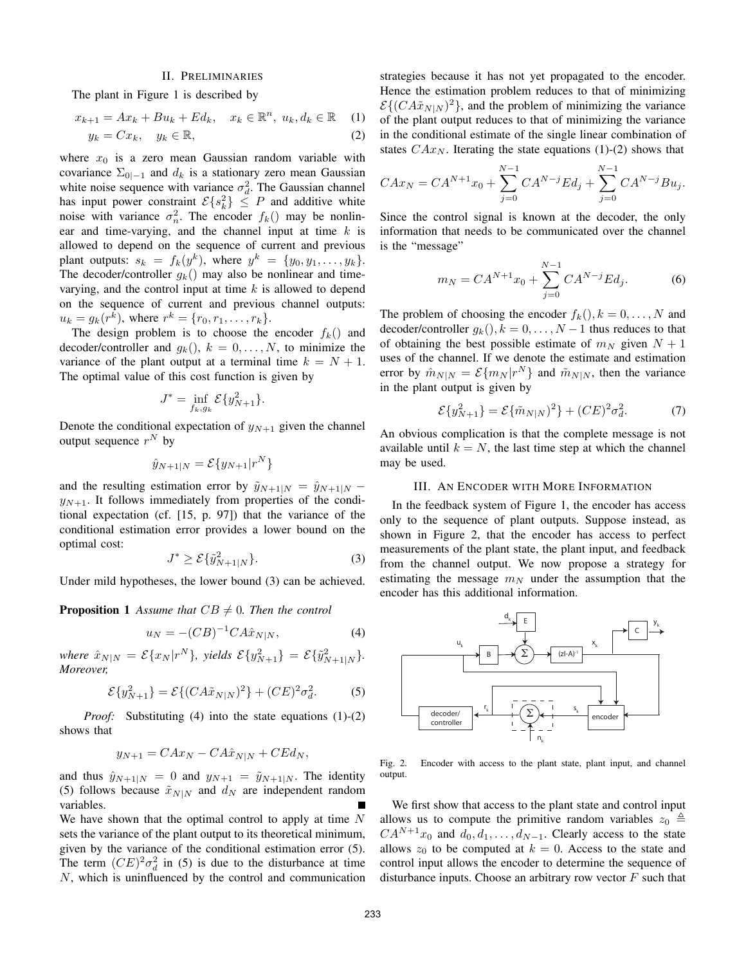# II. PRELIMINARIES

The plant in Figure 1 is described by

$$
x_{k+1} = Ax_k + Bu_k + Ed_k, \quad x_k \in \mathbb{R}^n, \ u_k, d_k \in \mathbb{R} \tag{1}
$$

$$
y_k = Cx_k, \quad y_k \in \mathbb{R}, \tag{2}
$$

where  $x_0$  is a zero mean Gaussian random variable with covariance  $\Sigma_{0|-1}$  and  $d_k$  is a stationary zero mean Gaussian white noise sequence with variance  $\sigma_d^2$ . The Gaussian channel has input power constraint  $\mathcal{E}\{s_k^2\} \leq P$  and additive white noise with variance  $\sigma_n^2$ . The encoder  $f_k()$  may be nonlinear and time-varying, and the channel input at time  $k$  is allowed to depend on the sequence of current and previous plant outputs:  $s_k = f_k(y^k)$ , where  $y^k = \{y_0, y_1, \ldots, y_k\}$ . The decoder/controller  $g_k()$  may also be nonlinear and timevarying, and the control input at time  $k$  is allowed to depend on the sequence of current and previous channel outputs:  $u_k = g_k(r^k)$ , where  $r^k = \{r_0, r_1, \dots, r_k\}$ .

The design problem is to choose the encoder  $f_k()$  and decoder/controller and  $g_k()$ ,  $k = 0, \ldots, N$ , to minimize the variance of the plant output at a terminal time  $k = N + 1$ . The optimal value of this cost function is given by

$$
J^* = \inf_{f_k, g_k} \mathcal{E} \{ y_{N+1}^2 \}.
$$

Denote the conditional expectation of  $y_{N+1}$  given the channel output sequence  $r^N$  by

$$
\hat{y}_{N+1|N} = \mathcal{E}\{y_{N+1}|r^N\}
$$

and the resulting estimation error by  $\tilde{y}_{N+1|N} = \hat{y}_{N+1|N}$  $y_{N+1}$ . It follows immediately from properties of the conditional expectation (cf. [15, p. 97]) that the variance of the conditional estimation error provides a lower bound on the optimal cost:

$$
J^* \ge \mathcal{E}\{\tilde{y}_{N+1|N}^2\}.\tag{3}
$$

Under mild hypotheses, the lower bound (3) can be achieved.

**Proposition 1** Assume that  $CB \neq 0$ . Then the control

$$
u_N = -(CB)^{-1}CA\hat{x}_{N|N},
$$
 (4)

 $where \ \hat{x}_{N|N} = \mathcal{E}\{x_N | r^N\}, \ yields \ \mathcal{E}\{y_{N+1}^2\} = \mathcal{E}\{\tilde{y}_{N+1|N}^2\}.$ *Moreover,*

$$
\mathcal{E}\{y_{N+1}^2\} = \mathcal{E}\{(CA\tilde{x}_{N|N})^2\} + (CE)^2 \sigma_d^2.
$$
 (5)

*Proof:* Substituting (4) into the state equations (1)-(2) shows that

$$
y_{N+1} = C A x_N - C A \hat{x}_{N|N} + C E d_N,
$$

and thus  $\hat{y}_{N+1|N} = 0$  and  $y_{N+1} = \tilde{y}_{N+1|N}$ . The identity (5) follows because  $\tilde{x}_{N|N}$  and  $d_N$  are independent random variables.

We have shown that the optimal control to apply at time  $N$ sets the variance of the plant output to its theoretical minimum, given by the variance of the conditional estimation error (5). The term  $(CE)^2 \sigma_d^2$  in (5) is due to the disturbance at time N, which is uninfluenced by the control and communication strategies because it has not yet propagated to the encoder. Hence the estimation problem reduces to that of minimizing  $\mathcal{E}\{(CA\tilde{x}_{N|N})^2\}$ , and the problem of minimizing the variance of the plant output reduces to that of minimizing the variance in the conditional estimate of the single linear combination of states  $C Ax_N$ . Iterating the state equations (1)-(2) shows that

$$
C A x_N = C A^{N+1} x_0 + \sum_{j=0}^{N-1} C A^{N-j} E d_j + \sum_{j=0}^{N-1} C A^{N-j} B u_j.
$$

Since the control signal is known at the decoder, the only information that needs to be communicated over the channel is the "message"

$$
m_N = CA^{N+1}x_0 + \sum_{j=0}^{N-1} CA^{N-j}Ed_j.
$$
 (6)

The problem of choosing the encoder  $f_k(.)$ ,  $k = 0, \ldots, N$  and decoder/controller  $q_k()$ ,  $k = 0, \ldots, N-1$  thus reduces to that of obtaining the best possible estimate of  $m_N$  given  $N + 1$ uses of the channel. If we denote the estimate and estimation error by  $\hat{m}_{N|N} = \mathcal{E}\{m_N|r^N\}$  and  $\tilde{m}_{N|N}$ , then the variance in the plant output is given by

$$
\mathcal{E}\{y_{N+1}^2\} = \mathcal{E}\{\tilde{m}_{N|N}\}^2\} + (CE)^2 \sigma_d^2.
$$
 (7)

An obvious complication is that the complete message is not available until  $k = N$ , the last time step at which the channel may be used.

## III. AN ENCODER WITH MORE INFORMATION

In the feedback system of Figure 1, the encoder has access only to the sequence of plant outputs. Suppose instead, as shown in Figure 2, that the encoder has access to perfect measurements of the plant state, the plant input, and feedback from the channel output. We now propose a strategy for estimating the message  $m_N$  under the assumption that the encoder has this additional information.



Fig. 2. Encoder with access to the plant state, plant input, and channel output.

We first show that access to the plant state and control input allows us to compute the primitive random variables  $z_0 \triangleq$  $CA^{N+1}x_0$  and  $d_0, d_1, \ldots, d_{N-1}$ . Clearly access to the state allows  $z_0$  to be computed at  $k = 0$ . Access to the state and control input allows the encoder to determine the sequence of disturbance inputs. Choose an arbitrary row vector  $F$  such that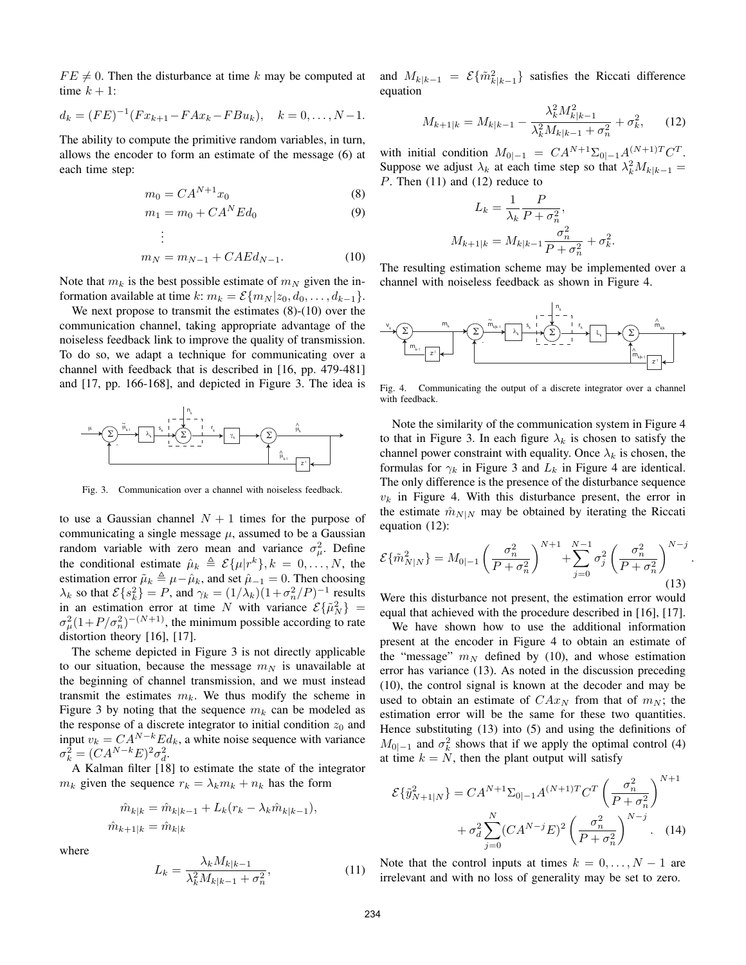$FE \neq 0$ . Then the disturbance at time k may be computed at time  $k + 1$ :

$$
d_k = (FE)^{-1}(Fx_{k+1} - FAx_k - FBu_k), \quad k = 0, \ldots, N-1.
$$

The ability to compute the primitive random variables, in turn, allows the encoder to form an estimate of the message (6) at each time step:

$$
m_0 = C A^{N+1} x_0 \tag{8}
$$

$$
m_1 = m_0 + CA^N Ed_0 \tag{9}
$$

$$
\therefore
$$
  

$$
m_N = m_{N-1} + CAEd_{N-1}.
$$
 (10)

Note that  $m_k$  is the best possible estimate of  $m_N$  given the information available at time k:  $m_k = \mathcal{E}\{m_N | z_0, d_0, \ldots, d_{k-1}\}.$ 

. .

We next propose to transmit the estimates  $(8)-(10)$  over the communication channel, taking appropriate advantage of the noiseless feedback link to improve the quality of transmission. To do so, we adapt a technique for communicating over a channel with feedback that is described in [16, pp. 479-481] and [17, pp. 166-168], and depicted in Figure 3. The idea is



Fig. 3. Communication over a channel with noiseless feedback.

to use a Gaussian channel  $N + 1$  times for the purpose of communicating a single message  $\mu$ , assumed to be a Gaussian random variable with zero mean and variance  $\sigma_{\mu}^2$ . Define the conditional estimate  $\hat{\mu}_k \triangleq \mathcal{E}\{\mu|r^k\}, k = 0, \ldots, N$ , the estimation error  $\tilde{\mu}_k \triangleq \mu - \hat{\mu}_k$ , and set  $\hat{\mu}_{-1} = 0$ . Then choosing  $\lambda_k$  so that  $\mathcal{E}\{s_k^2\} = P$ , and  $\gamma_k = (1/\lambda_k)(1 + \sigma_n^2/P)^{-1}$  results in an estimation error at time N with variance  $\mathcal{E}\{\tilde{\mu}_N^2\}$  =  $\sigma_{\mu}^2(1+P/\sigma_{n}^2)^{-(N+1)}$ , the minimum possible according to rate distortion theory [16], [17].

The scheme depicted in Figure 3 is not directly applicable to our situation, because the message  $m_N$  is unavailable at the beginning of channel transmission, and we must instead transmit the estimates  $m_k$ . We thus modify the scheme in Figure 3 by noting that the sequence  $m_k$  can be modeled as the response of a discrete integrator to initial condition  $z_0$  and input  $v_k = CA^{N-k}Ed_k$ , a white noise sequence with variance  $\sigma_k^2 = (CA^{N-k}E)^2 \sigma_d^2.$ 

A Kalman filter [18] to estimate the state of the integrator  $m_k$  given the sequence  $r_k = \lambda_k m_k + n_k$  has the form

$$
\hat{m}_{k|k} = \hat{m}_{k|k-1} + L_k(r_k - \lambda_k \hat{m}_{k|k-1}),
$$
  

$$
\hat{m}_{k+1|k} = \hat{m}_{k|k}
$$

where

$$
L_k = \frac{\lambda_k M_{k|k-1}}{\lambda_k^2 M_{k|k-1} + \sigma_n^2},\tag{11}
$$

and  $M_{k|k-1} = \mathcal{E}\{\tilde{m}_{k|k-1}^2\}$  satisfies the Riccati difference equation

$$
M_{k+1|k} = M_{k|k-1} - \frac{\lambda_k^2 M_{k|k-1}^2}{\lambda_k^2 M_{k|k-1} + \sigma_n^2} + \sigma_k^2, \qquad (12)
$$

with initial condition  $M_{0|-1} = CA^{N+1} \Sigma_{0|-1} A^{(N+1)T} C^T$ . Suppose we adjust  $\lambda_k$  at each time step so that  $\lambda_k^2 M_{k|k-1} =$ P. Then (11) and (12) reduce to

$$
L_k = \frac{1}{\lambda_k} \frac{P}{P + \sigma_n^2},
$$
  

$$
M_{k+1|k} = M_{k|k-1} \frac{\sigma_n^2}{P + \sigma_n^2} + \sigma_k^2.
$$

The resulting estimation scheme may be implemented over a channel with noiseless feedback as shown in Figure 4.



Fig. 4. Communicating the output of a discrete integrator over a channel with feedback.

Note the similarity of the communication system in Figure 4 to that in Figure 3. In each figure  $\lambda_k$  is chosen to satisfy the channel power constraint with equality. Once  $\lambda_k$  is chosen, the formulas for  $\gamma_k$  in Figure 3 and  $L_k$  in Figure 4 are identical. The only difference is the presence of the disturbance sequence  $v_k$  in Figure 4. With this disturbance present, the error in the estimate  $\hat{m}_{N|N}$  may be obtained by iterating the Riccati equation (12):

$$
\mathcal{E}\{\tilde{m}_{N|N}^2\} = M_{0|-1} \left(\frac{\sigma_n^2}{P + \sigma_n^2}\right)^{N+1} + \sum_{j=0}^{N-1} \sigma_j^2 \left(\frac{\sigma_n^2}{P + \sigma_n^2}\right)^{N-j}
$$
(13)

.

Were this disturbance not present, the estimation error would equal that achieved with the procedure described in [16], [17].

We have shown how to use the additional information present at the encoder in Figure 4 to obtain an estimate of the "message"  $m_N$  defined by (10), and whose estimation error has variance (13). As noted in the discussion preceding (10), the control signal is known at the decoder and may be used to obtain an estimate of  $C Ax_N$  from that of  $m_N$ ; the estimation error will be the same for these two quantities. Hence substituting (13) into (5) and using the definitions of  $M_{0|-1}$  and  $\sigma_k^2$  shows that if we apply the optimal control (4) at time  $k = N$ , then the plant output will satisfy

$$
\mathcal{E}\{\tilde{y}_{N+1|N}^2\} = CA^{N+1}\Sigma_{0|-1}A^{(N+1)T}C^T \left(\frac{\sigma_n^2}{P+\sigma_n^2}\right)^{N+1} + \sigma_d^2 \sum_{j=0}^N (CA^{N-j}E)^2 \left(\frac{\sigma_n^2}{P+\sigma_n^2}\right)^{N-j}.
$$
 (14)

Note that the control inputs at times  $k = 0, \ldots, N - 1$  are irrelevant and with no loss of generality may be set to zero.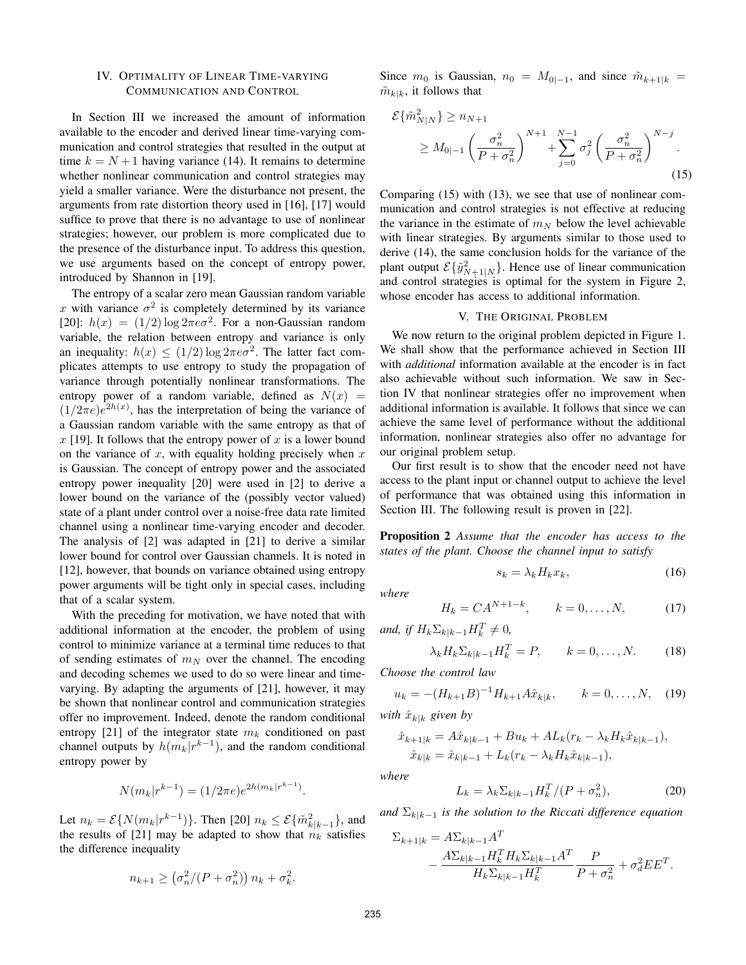# IV. OPTIMALITY OF LINEAR TIME-VARYING COMMUNICATION AND CONTROL

In Section III we increased the amount of information available to the encoder and derived linear time-varying communication and control strategies that resulted in the output at time  $k = N + 1$  having variance (14). It remains to determine whether nonlinear communication and control strategies may yield a smaller variance. Were the disturbance not present, the arguments from rate distortion theory used in [16], [17] would suffice to prove that there is no advantage to use of nonlinear strategies; however, our problem is more complicated due to the presence of the disturbance input. To address this question, we use arguments based on the concept of entropy power, introduced by Shannon in [19].

The entropy of a scalar zero mean Gaussian random variable x with variance  $\sigma^2$  is completely determined by its variance [20]:  $h(x) = (1/2) \log 2\pi e \sigma^2$ . For a non-Gaussian random variable, the relation between entropy and variance is only an inequality:  $h(x) \leq (1/2) \log 2\pi e \sigma^2$ . The latter fact complicates attempts to use entropy to study the propagation of variance through potentially nonlinear transformations. The entropy power of a random variable, defined as  $N(x)$  =  $(1/2\pi e)e^{2h(x)}$ , has the interpretation of being the variance of a Gaussian random variable with the same entropy as that of  $x$  [19]. It follows that the entropy power of  $x$  is a lower bound on the variance of  $x$ , with equality holding precisely when  $x$ is Gaussian. The concept of entropy power and the associated entropy power inequality [20] were used in [2] to derive a lower bound on the variance of the (possibly vector valued) state of a plant under control over a noise-free data rate limited channel using a nonlinear time-varying encoder and decoder. The analysis of [2] was adapted in [21] to derive a similar lower bound for control over Gaussian channels. It is noted in [12], however, that bounds on variance obtained using entropy power arguments will be tight only in special cases, including that of a scalar system.

With the preceding for motivation, we have noted that with additional information at the encoder, the problem of using control to minimize variance at a terminal time reduces to that of sending estimates of  $m_N$  over the channel. The encoding and decoding schemes we used to do so were linear and timevarying. By adapting the arguments of [21], however, it may be shown that nonlinear control and communication strategies offer no improvement. Indeed, denote the random conditional entropy [21] of the integrator state  $m_k$  conditioned on past channel outputs by  $h(m_k|r^{k-1})$ , and the random conditional entropy power by

$$
N(m_k|r^{k-1}) = (1/2\pi e)e^{2h(m_k|r^{k-1})}.
$$

Let  $n_k = \mathcal{E}\{N(m_k|r^{k-1})\}$ . Then [20]  $n_k \leq \mathcal{E}\{\tilde{m}_{k|k-1}^2\}$ , and the results of [21] may be adapted to show that  $n_k$  satisfies the difference inequality

$$
n_{k+1} \ge \left(\sigma_n^2/(P+\sigma_n^2)\right) n_k + \sigma_k^2
$$

.

Since  $m_0$  is Gaussian,  $n_0 = M_{0|-1}$ , and since  $\tilde{m}_{k+1|k} =$  $\tilde{m}_{k|k}$ , it follows that

$$
\mathcal{E}\{\tilde{m}_{N|N}^2\} \ge n_{N+1} \\
\ge M_{0|-1} \left(\frac{\sigma_n^2}{P + \sigma_n^2}\right)^{N+1} + \sum_{j=0}^{N-1} \sigma_j^2 \left(\frac{\sigma_n^2}{P + \sigma_n^2}\right)^{N-j}.\n\tag{15}
$$

Comparing (15) with (13), we see that use of nonlinear communication and control strategies is not effective at reducing the variance in the estimate of  $m_N$  below the level achievable with linear strategies. By arguments similar to those used to derive (14), the same conclusion holds for the variance of the plant output  $\mathcal{E}\{\tilde{y}_{N+1|N}^2\}$ . Hence use of linear communication and control strategies is optimal for the system in Figure 2, whose encoder has access to additional information.

## V. THE ORIGINAL PROBLEM

We now return to the original problem depicted in Figure 1. We shall show that the performance achieved in Section III with *additional* information available at the encoder is in fact also achievable without such information. We saw in Section IV that nonlinear strategies offer no improvement when additional information is available. It follows that since we can achieve the same level of performance without the additional information, nonlinear strategies also offer no advantage for our original problem setup.

Our first result is to show that the encoder need not have access to the plant input or channel output to achieve the level of performance that was obtained using this information in Section III. The following result is proven in [22].

Proposition 2 *Assume that the encoder has access to the states of the plant. Choose the channel input to satisfy*

$$
s_k = \lambda_k H_k x_k, \tag{16}
$$

*where*

$$
H_k = C A^{N+1-k}, \qquad k = 0, \dots, N, \tag{17}
$$

and, if  $H_k \Sigma_{k|k-1} H_k^T \neq 0$ ,

$$
\lambda_k H_k \Sigma_{k|k-1} H_k^T = P, \qquad k = 0, \dots, N. \tag{18}
$$

*Choose the control law*

$$
u_k = -(H_{k+1}B)^{-1}H_{k+1}A\hat{x}_{k|k}, \qquad k = 0, \dots, N, \quad (19)
$$

*with*  $\hat{x}_{k|k}$  *given by* 

$$
\hat{x}_{k+1|k} = A\hat{x}_{k|k-1} + Bu_k + AL_k(r_k - \lambda_k H_k \hat{x}_{k|k-1}),
$$
  

$$
\hat{x}_{k|k} = \hat{x}_{k|k-1} + L_k(r_k - \lambda_k H_k \hat{x}_{k|k-1}),
$$

*where*

$$
L_k = \lambda_k \Sigma_{k|k-1} H_k^T / (P + \sigma_n^2), \tag{20}
$$

*and*  $\Sigma_{k|k-1}$  *is the solution to the Riccati difference equation* 

$$
\Sigma_{k+1|k} = A \Sigma_{k|k-1} A^T \n- \frac{A \Sigma_{k|k-1} H_k^T H_k \Sigma_{k|k-1} A^T}{H_k \Sigma_{k|k-1} H_k^T} \frac{P}{P + \sigma_n^2} + \sigma_d^2 E E^T.
$$